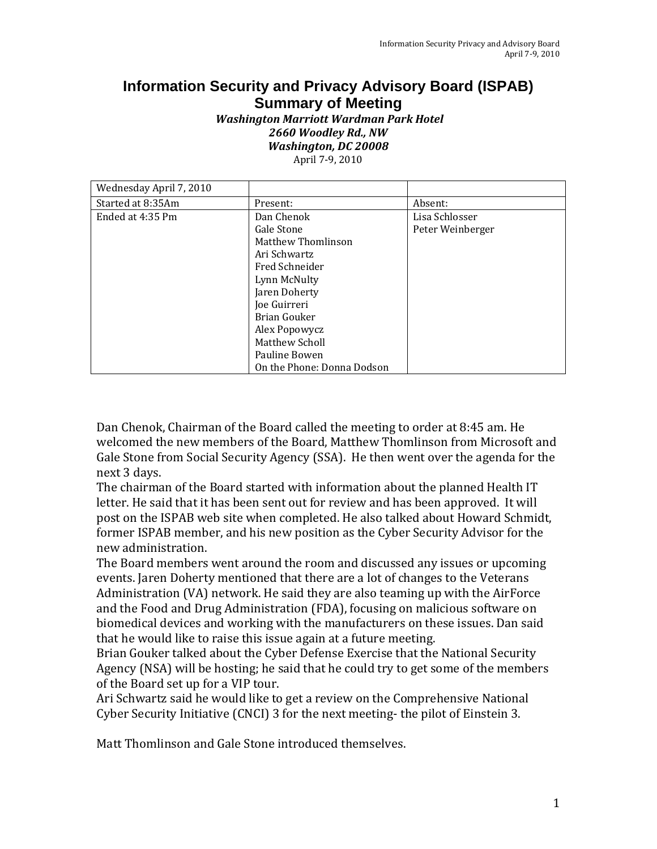## **Information Security and Privacy Advisory Board (ISPAB) Summary of Meeting**

## *Washington Marriott Wardman Park Hotel 2660 Woodley Rd., NW Washington, DC 20008*

April 7‐9, 2010

| Wednesday April 7, 2010 |                            |                  |
|-------------------------|----------------------------|------------------|
| Started at 8:35Am       | Present:                   | Absent:          |
| Ended at 4:35 Pm        | Dan Chenok                 | Lisa Schlosser   |
|                         | Gale Stone                 | Peter Weinberger |
|                         | <b>Matthew Thomlinson</b>  |                  |
|                         | Ari Schwartz               |                  |
|                         | Fred Schneider             |                  |
|                         | Lynn McNulty               |                  |
|                         | Jaren Doherty              |                  |
|                         | Joe Guirreri               |                  |
|                         | Brian Gouker               |                  |
|                         | Alex Popowycz              |                  |
|                         | Matthew Scholl             |                  |
|                         | Pauline Bowen              |                  |
|                         | On the Phone: Donna Dodson |                  |

 next 3 days. Dan Chenok, Chairman of the Board called the meeting to order at 8:45 am. He welcomed the new members of the Board, Matthew Thomlinson from Microsoft and Gale Stone from Social Security Agency (SSA). He then went over the agenda for the

The chairman of the Board started with information about the planned Health IT letter. He said that it has been sent out for review and has been approved. It will post on the ISPAB web site when completed. He also talked about Howard Schmidt, former ISPAB member, and his new position as the Cyber Security Advisor for the new administration.

 events. Jaren Doherty mentioned that there are a lot of changes to the Veterans The Board members went around the room and discussed any issues or upcoming Administration (VA) network. He said they are also teaming up with the AirForce and the Food and Drug Administration (FDA), focusing on malicious software on biomedical devices and working with the manufacturers on these issues. Dan said that he would like to raise this issue again at a future meeting.

Brian Gouker talked about the Cyber Defense Exercise that the National Security Agency (NSA) will be hosting; he said that he could try to get some of the members of the Board set up for a VIP tour.

Ari Schwartz said he would like to get a review on the Comprehensive National Cyber Security Initiative (CNCI) 3 for the next meeting‐ the pilot of Einstein 3.

Matt Thomlinson and Gale Stone introduced themselves.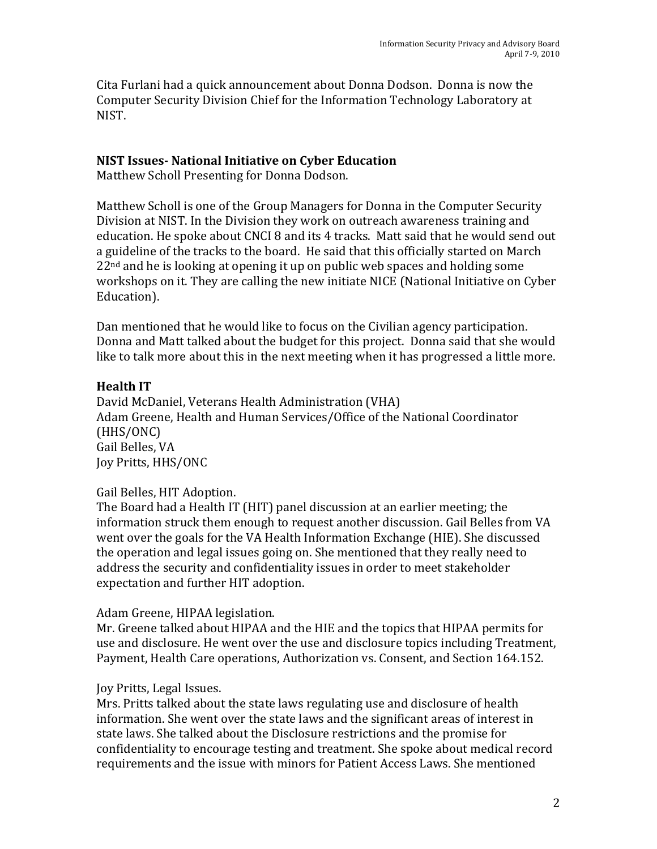Cita Furlani had a quick announcement about Donna Dodson. Donna is now the Computer Security Division Chief for the Information Technology Laboratory at NIST.

#### **NIST Issues National Initiative on Cyber Education**

Matthew Scholl Presenting for Donna Dodson.

Matthew Scholl is one of the Group Managers for Donna in the Computer Security Division at NIST. In the Division they work on outreach awareness training and education. He spoke about CNCI 8 and its 4 tracks. Matt said that he would send out a guideline of the tracks to the board. He said that this officially started on March 22<sup>nd</sup> and he is looking at opening it up on public web spaces and holding some workshops on it. They are calling the new initiate NICE (National Initiative on Cyber Education).

Dan mentioned that he would like to focus on the Civilian agency participation. Donna and Matt talked about the budget for this project. Donna said that she would like to talk more about this in the next meeting when it has progressed a little more.

### **Health IT**

David McDaniel, Veterans Health Administration (VHA) Adam Greene, Health and Human Services/Office of the National Coordinator (HHS/ONC) Gail Belles, VA Joy Pritts, HHS/ONC

#### Gail Belles, HIT Adoption.

 expectation and further HIT adoption. The Board had a Health IT (HIT) panel discussion at an earlier meeting; the information struck them enough to request another discussion. Gail Belles from VA went over the goals for the VA Health Information Exchange (HIE). She discussed the operation and legal issues going on. She mentioned that they really need to address the security and confidentiality issues in order to meet stakeholder

#### Adam Greene, HIPAA legislation.

Mr. Greene talked about HIPAA and the HIE and the topics that HIPAA permits for use and disclosure. He went over the use and disclosure topics including Treatment, Payment, Health Care operations, Authorization vs. Consent, and Section 164.152.

#### Joy Pritts, Legal Issues.

 information. She went over the state laws and the significant areas of interest in Mrs. Pritts talked about the state laws regulating use and disclosure of health state laws. She talked about the Disclosure restrictions and the promise for confidentiality to encourage testing and treatment. She spoke about medical record requirements and the issue with minors for Patient Access Laws. She mentioned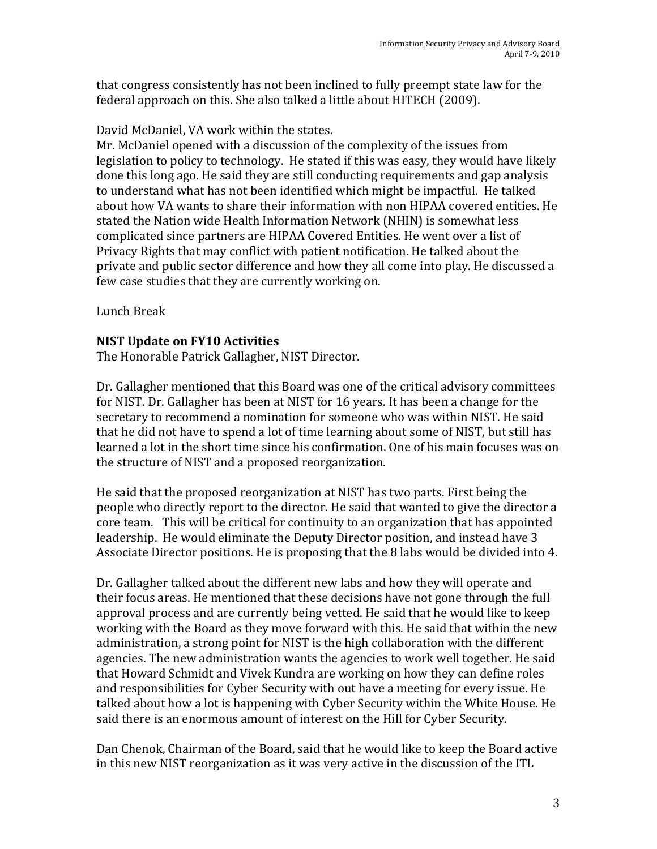that congress consistently has not been inclined to fully preempt state law for the federal approach on this. She also talked a little about HITECH (2009).

David McDaniel, VA work within the states.

Mr. McDaniel opened with a discussion of the complexity of the issues from legislation to policy to technology. He stated if this was easy, they would have likely done this long ago. He said they are still conducting requirements and gap analysis to understand what has not been identified which might be impactful. He talked about how VA wants to share their information with non HIPAA covered entities. He stated the Nation wide Health Information Network (NHIN) is somewhat less complicated since partners are HIPAA Covered Entities. He went over a list of Privacy Rights that may conflict with patient notification. He talked about the private and public sector difference and how they all come into play. He discussed a few case studies that they are currently working on.

Lunch Break

### **NIST Update on FY10 Activities**

The Honorable Patrick Gallagher, NIST Director.

Dr. Gallagher mentioned that this Board was one of the critical advisory committees for NIST. Dr. Gallagher has been at NIST for 16 years. It has been a change for the secretary to recommend a nomination for someone who was within NIST. He said that he did not have to spend a lot of time learning about some of NIST, but still has learned a lot in the short time since his confirmation. One of his main focuses was on the structure of NIST and a proposed reorganization.

He said that the proposed reorganization at NIST has two parts. First being the people who directly report to the director. He said that wanted to give the director a core team. This will be critical for continuity to an organization that has appointed leadership. He would eliminate the Deputy Director position, and instead have 3 Associate Director positions. He is proposing that the 8 labs would be divided into 4.

Dr. Gallagher talked about the different new labs and how they will operate and their focus areas. He mentioned that these decisions have not gone through the full approval process and are currently being vetted. He said that he would like to keep working with the Board as they move forward with this. He said that within the new administration, a strong point for NIST is the high collaboration with the different agencies. The new administration wants the agencies to work well together. He said that Howard Schmidt and Vivek Kundra are working on how they can define roles and responsibilities for Cyber Security with out have a meeting for every issue. He talked about how a lot is happening with Cyber Security within the White House. He said there is an enormous amount of interest on the Hill for Cyber Security.

Dan Chenok, Chairman of the Board, said that he would like to keep the Board active in this new NIST reorganization as it was very active in the discussion of the ITL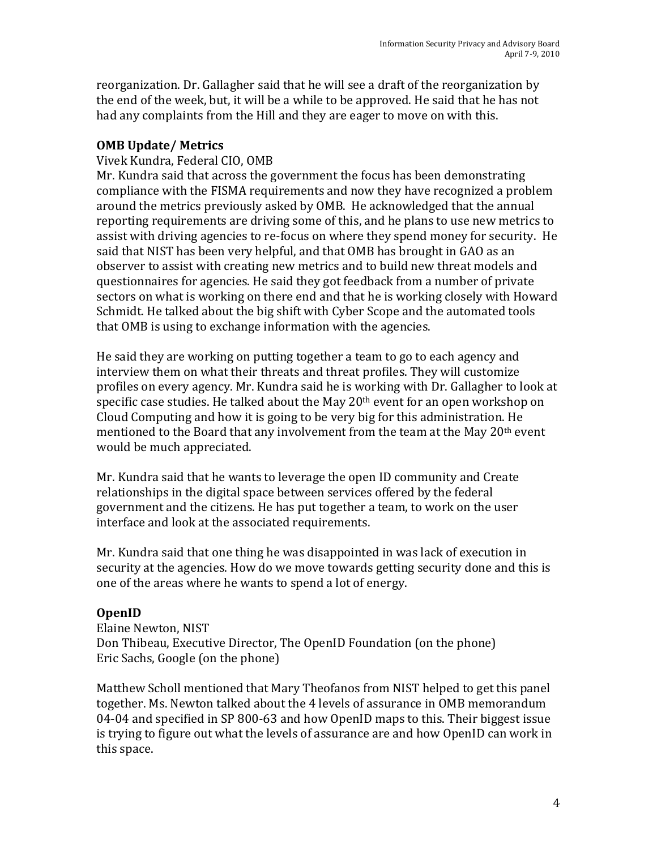reorganization. Dr. Gallagher said that he will see a draft of the reorganization by the end of the week, but, it will be a while to be approved. He said that he has not had any complaints from the Hill and they are eager to move on with this.

### **OMB Update/ Metrics**

### Vivek Kundra, Federal CIO, OMB

Mr. Kundra said that across the government the focus has been demonstrating compliance with the FISMA requirements and now they have recognized a problem around the metrics previously asked by OMB. He acknowledged that the annual reporting requirements are driving some of this, and he plans to use new metrics to assist with driving agencies to re‐focus on where they spend money for security. He said that NIST has been very helpful, and that OMB has brought in GAO as an observer to assist with creating new metrics and to build new threat models and questionnaires for agencies. He said they got feedback from a number of private sectors on what is working on there end and that he is working closely with Howard Schmidt. He talked about the big shift with Cyber Scope and the automated tools that OMB is using to exchange information with the agencies.

He said they are working on putting together a team to go to each agency and interview them on what their threats and threat profiles. They will customize profiles on every agency. Mr. Kundra said he is working with Dr. Gallagher to look at specific case studies. He talked about the May 20<sup>th</sup> event for an open workshop on Cloud Computing and how it is going to be very big for this administration. He mentioned to the Board that any involvement from the team at the May  $20<sup>th</sup>$  event would be much appreciated.

Mr. Kundra said that he wants to leverage the open ID community and Create relationships in the digital space between services offered by the federal government and the citizens. He has put together a team, to work on the user interface and look at the associated requirements.

Mr. Kundra said that one thing he was disappointed in was lack of execution in security at the agencies. How do we move towards getting security done and this is one of the areas where he wants to spend a lot of energy.

#### **OpenID**

Elaine Newton, NIST Don Thibeau, Executive Director, The OpenID Foundation (on the phone) Eric Sachs, Google (on the phone)

Matthew Scholl mentioned that Mary Theofanos from NIST helped to get this panel together. Ms. Newton talked about the 4 levels of assurance in OMB memorandum 04‐04 and specified in SP 800‐63 and how OpenID maps to this. Their biggest issue is trying to figure out what the levels of assurance are and how OpenID can work in this space.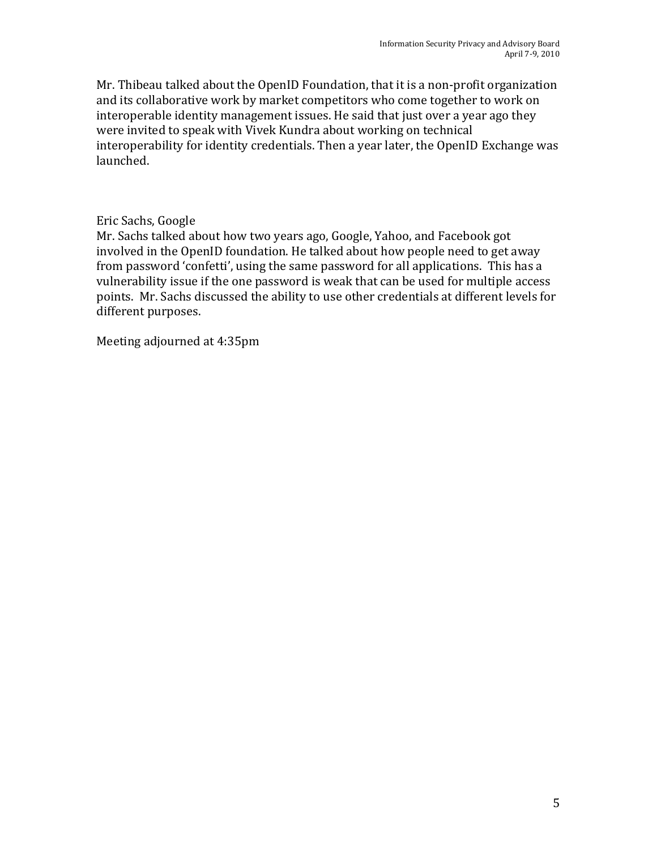Mr. Thibeau talked about the OpenID Foundation, that it is a non‐profit organization and its collaborative work by market competitors who come together to work on interoperable identity management issues. He said that just over a year ago they were invited to speak with Vivek Kundra about working on technical interoperability for identity credentials. Then a year later, the OpenID Exchange was launched.

### Eric Sachs, Google

Mr. Sachs talked about how two years ago, Google, Yahoo, and Facebook got involved in the OpenID foundation. He talked about how people need to get away from password 'confetti', using the same password for all applications. This has a vulnerability issue if the one password is weak that can be used for multiple access points. Mr. Sachs discussed the ability to use other credentials at different levels for different purposes.

Meeting adjourned at 4:35pm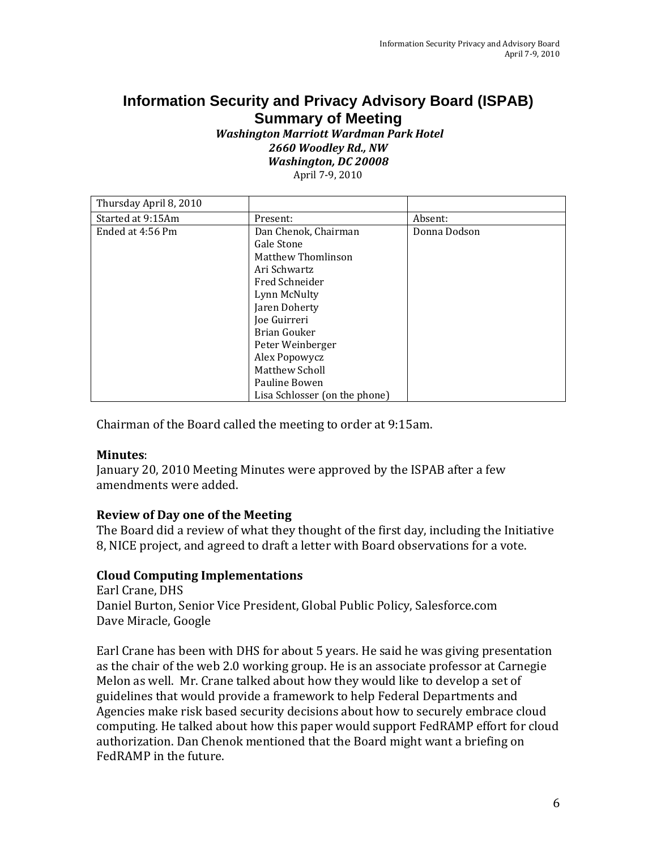# **Information Security and Privacy Advisory Board (ISPAB) Summary of Meeting**

 *Washington Marriott Wardman Park Hotel 2660 Woodley Rd., NW Washington, DC 20008* April 7‐9, 2010

| Thursday April 8, 2010 |                               |              |
|------------------------|-------------------------------|--------------|
| Started at 9:15Am      | Present:                      | Absent:      |
| Ended at 4:56 Pm       | Dan Chenok, Chairman          | Donna Dodson |
|                        | Gale Stone                    |              |
|                        | <b>Matthew Thomlinson</b>     |              |
|                        | Ari Schwartz                  |              |
|                        | Fred Schneider                |              |
|                        | Lynn McNulty                  |              |
|                        | Jaren Doherty                 |              |
|                        | Joe Guirreri                  |              |
|                        | Brian Gouker                  |              |
|                        | Peter Weinberger              |              |
|                        | Alex Popowycz                 |              |
|                        | Matthew Scholl                |              |
|                        | Pauline Bowen                 |              |
|                        | Lisa Schlosser (on the phone) |              |

Chairman of the Board called the meeting to order at 9:15am.

#### **Minutes**:

January 20, 2010 Meeting Minutes were approved by the ISPAB after a few amendments were added.

#### **Review of Day one of the Meeting**

The Board did a review of what they thought of the first day, including the Initiative 8, NICE project, and agreed to draft a letter with Board observations for a vote.

#### **Cloud Computing Implementations**

Earl Crane, DHS Daniel Burton, Senior Vice President, Global Public Policy, Salesforce.com Dave Miracle, Google

Earl Crane has been with DHS for about 5 years. He said he was giving presentation as the chair of the web 2.0 working group. He is an associate professor at Carnegie Melon as well. Mr. Crane talked about how they would like to develop a set of guidelines that would provide a framework to help Federal Departments and Agencies make risk based security decisions about how to securely embrace cloud computing. He talked about how this paper would support FedRAMP effort for cloud authorization. Dan Chenok mentioned that the Board might want a briefing on FedRAMP in the future.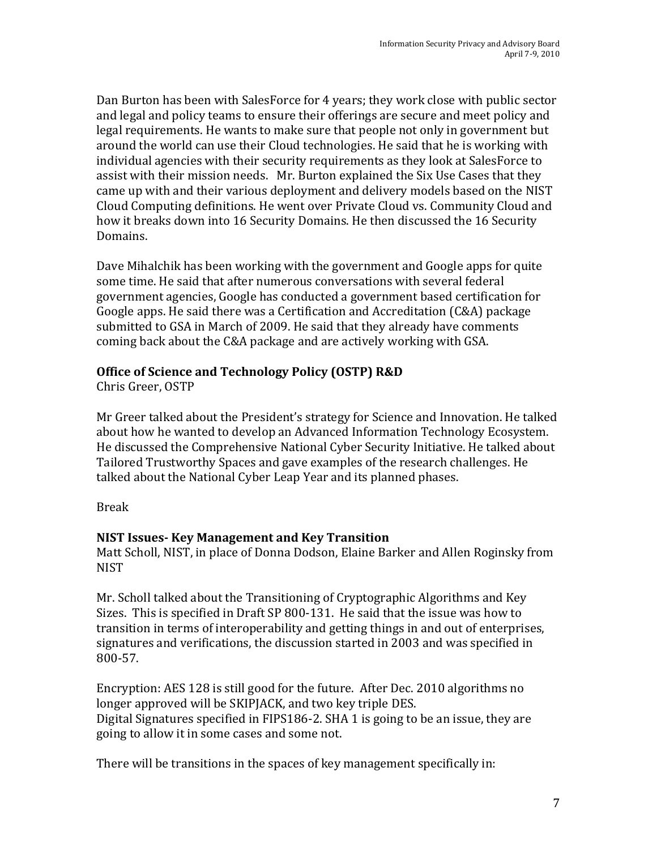Dan Burton has been with SalesForce for 4 years; they work close with public sector and legal and policy teams to ensure their offerings are secure and meet policy and legal requirements. He wants to make sure that people not only in government but around the world can use their Cloud technologies. He said that he is working with individual agencies with their security requirements as they look at SalesForce to assist with their mission needs. Mr. Burton explained the Six Use Cases that they came up with and their various deployment and delivery models based on the NIST Cloud Computing definitions. He went over Private Cloud vs. Community Cloud and how it breaks down into 16 Security Domains. He then discussed the 16 Security Domains.

Dave Mihalchik has been working with the government and Google apps for quite some time. He said that after numerous conversations with several federal government agencies, Google has conducted a government based certification for Google apps. He said there was a Certification and Accreditation (C&A) package submitted to GSA in March of 2009. He said that they already have comments coming back about the C&A package and are actively working with GSA.

### **Office of Science and Technology Policy (OSTP) R&D**

Chris Greer, OSTP

 talked about the National Cyber Leap Year and its planned phases. Mr Greer talked about the President's strategy for Science and Innovation. He talked about how he wanted to develop an Advanced Information Technology Ecosystem. He discussed the Comprehensive National Cyber Security Initiative. He talked about Tailored Trustworthy Spaces and gave examples of the research challenges. He

#### Break

#### **NIST Issues Key Management and Key Transition**

Matt Scholl, NIST, in place of Donna Dodson, Elaine Barker and Allen Roginsky from **NIST** 

Mr. Scholl talked about the Transitioning of Cryptographic Algorithms and Key Sizes. This is specified in Draft SP 800‐131. He said that the issue was how to transition in terms of interoperability and getting things in and out of enterprises, signatures and verifications, the discussion started in 2003 and was specified in 800‐57.

Encryption: AES 128 is still good for the future. After Dec. 2010 algorithms no longer approved will be SKIPJACK, and two key triple DES. Digital Signatures specified in FIPS186‐2. SHA 1 is going to be an issue, they are going to allow it in some cases and some not.

There will be transitions in the spaces of key management specifically in: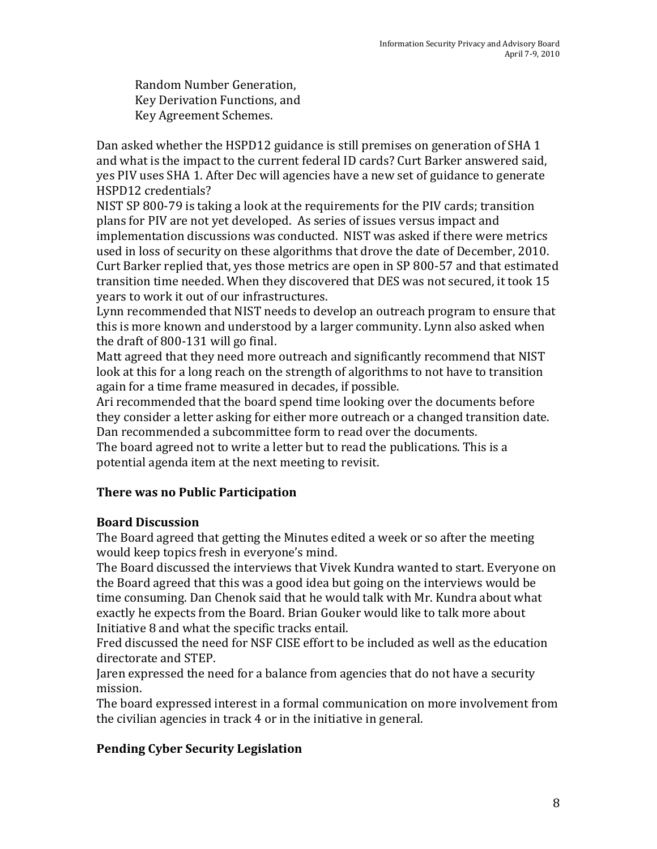Random Number Generation, Key Derivation Functions, and Key Agreement Schemes.

Dan asked whether the HSPD12 guidance is still premises on generation of SHA 1 and what is the impact to the current federal ID cards? Curt Barker answered said, yes PIV uses SHA 1. After Dec will agencies have a new set of guidance to generate HSPD12 credentials?

NIST SP 800‐79 is taking a look at the requirements for the PIV cards; transition plans for PIV are not yet developed. As series of issues versus impact and implementation discussions was conducted. NIST was asked if there were metrics used in loss of security on these algorithms that drove the date of December, 2010. Curt Barker replied that, yes those metrics are open in SP 800‐57 and that estimated transition time needed. When they discovered that DES was not secured, it took 15 years to work it out of our infrastructures.

Lynn recommended that NIST needs to develop an outreach program to ensure that this is more known and understood by a larger community. Lynn also asked when the draft of 800‐131 will go final.

Matt agreed that they need more outreach and significantly recommend that NIST look at this for a long reach on the strength of algorithms to not have to transition again for a time frame measured in decades, if possible.

 Dan recommended a subcommittee form to read over the documents. Ari recommended that the board spend time looking over the documents before they consider a letter asking for either more outreach or a changed transition date.

The board agreed not to write a letter but to read the publications. This is a potential agenda item at the next meeting to revisit.

## **There was no Public Participation**

## **Board Discussion**

The Board agreed that getting the Minutes edited a week or so after the meeting would keep topics fresh in everyone's mind.

The Board discussed the interviews that Vivek Kundra wanted to start. Everyone on the Board agreed that this was a good idea but going on the interviews would be time consuming. Dan Chenok said that he would talk with Mr. Kundra about what exactly he expects from the Board. Brian Gouker would like to talk more about Initiative 8 and what the specific tracks entail.

Fred discussed the need for NSF CISE effort to be included as well as the education directorate and STEP.

Jaren expressed the need for a balance from agencies that do not have a security mission.

The board expressed interest in a formal communication on more involvement from the civilian agencies in track 4 or in the initiative in general.

## **Pending Cyber Security Legislation**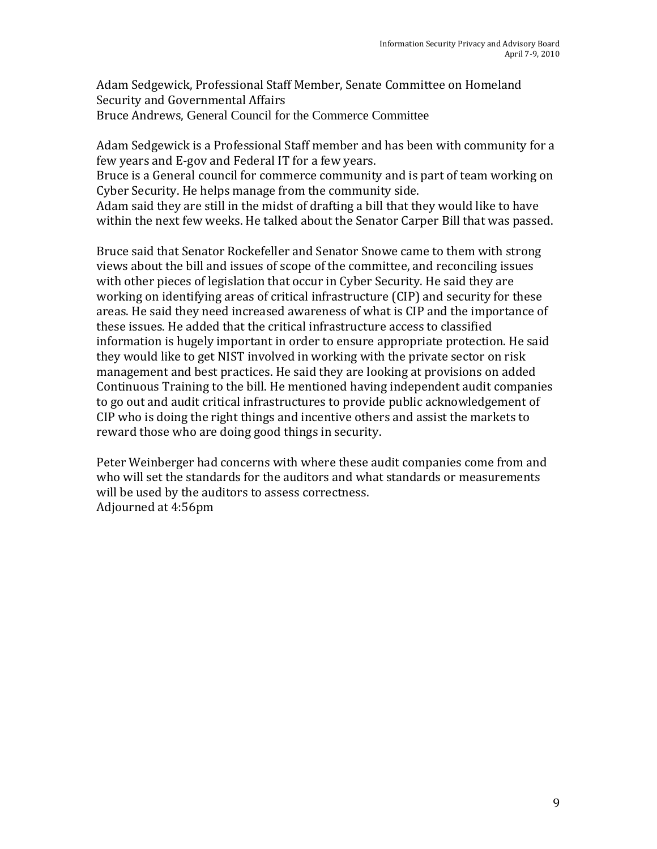Adam Sedgewick, Professional Staff Member, Senate Committee on Homeland Security and Governmental Affairs Bruce Andrews, General Council for the Commerce Committee

Adam Sedgewick is a Professional Staff member and has been with community for a few years and E‐gov and Federal IT for a few years.

Bruce is a General council for commerce community and is part of team working on Cyber Security. He helps manage from the community side.

Adam said they are still in the midst of drafting a bill that they would like to have within the next few weeks. He talked about the Senator Carper Bill that was passed.

 Bruce said that Senator Rockefeller and Senator Snowe came to them with strong views about the bill and issues of scope of the committee, and reconciling issues with other pieces of legislation that occur in Cyber Security. He said they are working on identifying areas of critical infrastructure (CIP) and security for these areas. He said they need increased awareness of what is CIP and the importance of these issues. He added that the critical infrastructure access to classified information is hugely important in order to ensure appropriate protection. He said they would like to get NIST involved in working with the private sector on risk management and best practices. He said they are looking at provisions on added Continuous Training to the bill. He mentioned having independent audit companies to go out and audit critical infrastructures to provide public acknowledgement of CIP who is doing the right things and incentive others and assist the markets to reward those who are doing good things in security.

Peter Weinberger had concerns with where these audit companies come from and who will set the standards for the auditors and what standards or measurements will be used by the auditors to assess correctness. Adjourned at 4:56pm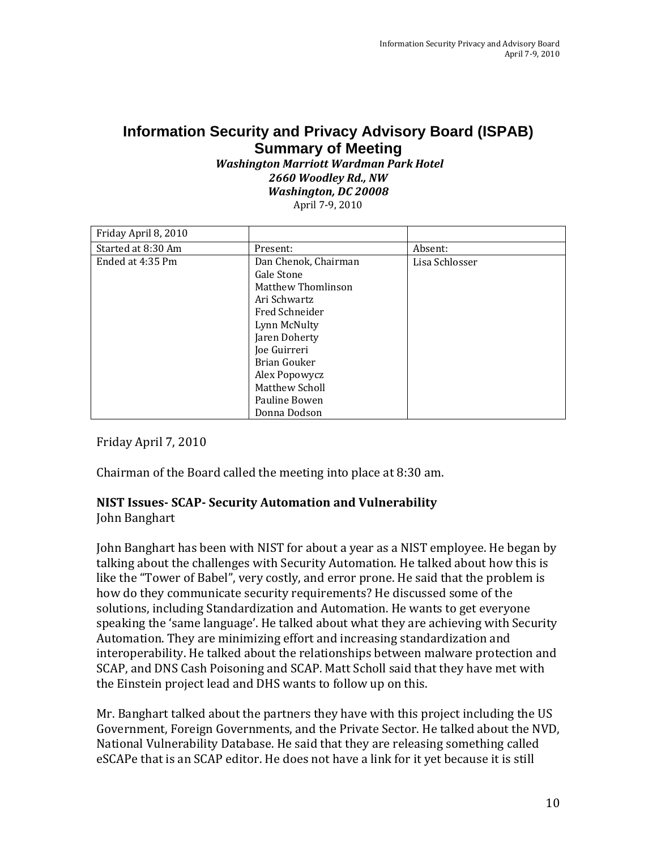## **Information Security and Privacy Advisory Board (ISPAB) Summary of Meeting**

#### *Washington Marriott Wardman Park Hotel 2660 Woodley Rd., NW Washington, DC 20008* April 7‐9, 2010

| Friday April 8, 2010 |                                                                                                                             |                |
|----------------------|-----------------------------------------------------------------------------------------------------------------------------|----------------|
| Started at 8:30 Am   | Present:                                                                                                                    | Absent:        |
| Ended at 4:35 Pm     | Dan Chenok, Chairman<br>Gale Stone<br>Matthew Thomlinson<br>Ari Schwartz<br>Fred Schneider<br>Lynn McNulty<br>Jaren Doherty | Lisa Schlosser |
|                      | Joe Guirreri<br>Brian Gouker<br>Alex Popowycz<br>Matthew Scholl<br>Pauline Bowen<br>Donna Dodson                            |                |

Friday April 7, 2010

Chairman of the Board called the meeting into place at 8:30 am.

# **NIST Issues SCAP Security Automation and Vulnerability**

John Banghart

John Banghart has been with NIST for about a year as a NIST employee. He began by talking about the challenges with Security Automation. He talked about how this is like the "Tower of Babel", very costly, and error prone. He said that the problem is how do they communicate security requirements? He discussed some of the solutions, including Standardization and Automation. He wants to get everyone speaking the 'same language'. He talked about what they are achieving with Security Automation. They are minimizing effort and increasing standardization and interoperability. He talked about the relationships between malware protection and SCAP, and DNS Cash Poisoning and SCAP. Matt Scholl said that they have met with the Einstein project lead and DHS wants to follow up on this.

Mr. Banghart talked about the partners they have with this project including the US Government, Foreign Governments, and the Private Sector. He talked about the NVD, National Vulnerability Database. He said that they are releasing something called eSCAPe that is an SCAP editor. He does not have a link for it yet because it is still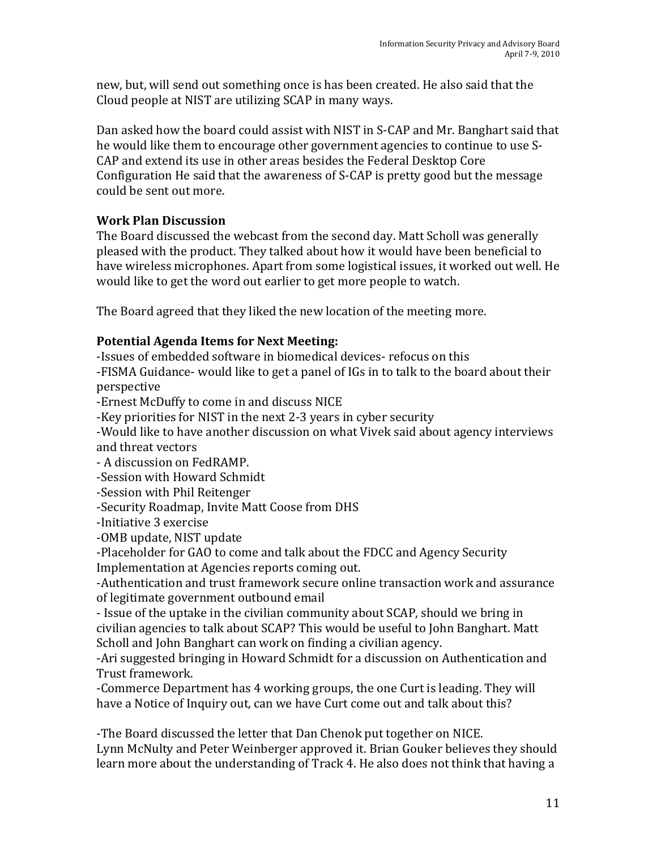new, but, will send out something once is has been created. He also said that the Cloud people at NIST are utilizing SCAP in many ways.

Dan asked how the board could assist with NIST in S‐CAP and Mr. Banghart said that he would like them to encourage other government agencies to continue to use S‐ CAP and extend its use in other areas besides the Federal Desktop Core Configuration He said that the awareness of S‐CAP is pretty good but the message could be sent out more.

## **Work Plan Discussion**

The Board discussed the webcast from the second day. Matt Scholl was generally pleased with the product. They talked about how it would have been beneficial to have wireless microphones. Apart from some logistical issues, it worked out well. He would like to get the word out earlier to get more people to watch.

The Board agreed that they liked the new location of the meeting more.

## **Potential Agenda Items for Next Meeting:**

‐Issues of embedded software in biomedical devices‐ refocus on this

‐FISMA Guidance‐ would like to get a panel of IGs in to talk to the board about their perspective

‐Ernest McDuffy to come in and discuss NICE

‐Key priorities for NIST in the next 2‐3 years in cyber security

‐Would like to have another discussion on what Vivek said about agency interviews and threat vectors

‐ A discussion on FedRAMP.

‐Session with Howard Schmidt

‐Session with Phil Reitenger

‐Security Roadmap, Invite Matt Coose from DHS

‐Initiative 3 exercise

‐OMB update, NIST update

‐Placeholder for GAO to come and talk about the FDCC and Agency Security Implementation at Agencies reports coming out.

‐Authentication and trust framework secure online transaction work and assurance of legitimate government outbound email

 Scholl and John Banghart can work on finding a civilian agency. ‐ Issue of the uptake in the civilian community about SCAP, should we bring in civilian agencies to talk about SCAP? This would be useful to John Banghart. Matt

‐Ari suggested bringing in Howard Schmidt for a discussion on Authentication and Trust framework.

‐Commerce Department has 4 working groups, the one Curt is leading. They will have a Notice of Inquiry out, can we have Curt come out and talk about this?

‐The Board discussed the letter that Dan Chenok put together on NICE. Lynn McNulty and Peter Weinberger approved it. Brian Gouker believes they should learn more about the understanding of Track 4. He also does not think that having a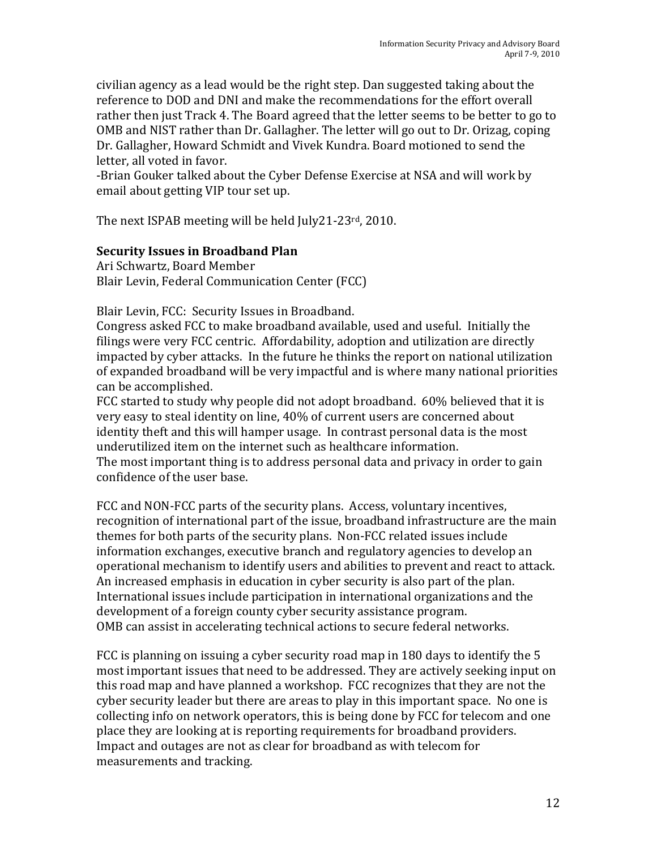civilian agency as a lead would be the right step. Dan suggested taking about the reference to DOD and DNI and make the recommendations for the effort overall rather then just Track 4. The Board agreed that the letter seems to be better to go to OMB and NIST rather than Dr. Gallagher. The letter will go out to Dr. Orizag, coping Dr. Gallagher, Howard Schmidt and Vivek Kundra. Board motioned to send the letter, all voted in favor.

‐Brian Gouker talked about the Cyber Defense Exercise at NSA and will work by email about getting VIP tour set up.

The next ISPAB meeting will be held July21‐23rd, 2010.

#### **Security Issues in Broadband Plan**

Ari Schwartz, Board Member Blair Levin, Federal Communication Center (FCC)

Blair Levin, FCC: Security Issues in Broadband.

Congress asked FCC to make broadband available, used and useful. Initially the filings were very FCC centric. Affordability, adoption and utilization are directly impacted by cyber attacks. In the future he thinks the report on national utilization of expanded broadband will be very impactful and is where many national priorities can be accomplished.

FCC started to study why people did not adopt broadband. 60% believed that it is very easy to steal identity on line, 40% of current users are concerned about identity theft and this will hamper usage. In contrast personal data is the most underutilized item on the internet such as healthcare information.

The most important thing is to address personal data and privacy in order to gain confidence of the user base.

FCC and NON‐FCC parts of the security plans. Access, voluntary incentives, recognition of international part of the issue, broadband infrastructure are the main themes for both parts of the security plans. Non‐FCC related issues include information exchanges, executive branch and regulatory agencies to develop an operational mechanism to identify users and abilities to prevent and react to attack. An increased emphasis in education in cyber security is also part of the plan. International issues include participation in international organizations and the development of a foreign county cyber security assistance program. OMB can assist in accelerating technical actions to secure federal networks.

FCC is planning on issuing a cyber security road map in 180 days to identify the 5 most important issues that need to be addressed. They are actively seeking input on this road map and have planned a workshop. FCC recognizes that they are not the cyber security leader but there are areas to play in this important space. No one is collecting info on network operators, this is being done by FCC for telecom and one place they are looking at is reporting requirements for broadband providers. Impact and outages are not as clear for broadband as with telecom for measurements and tracking.